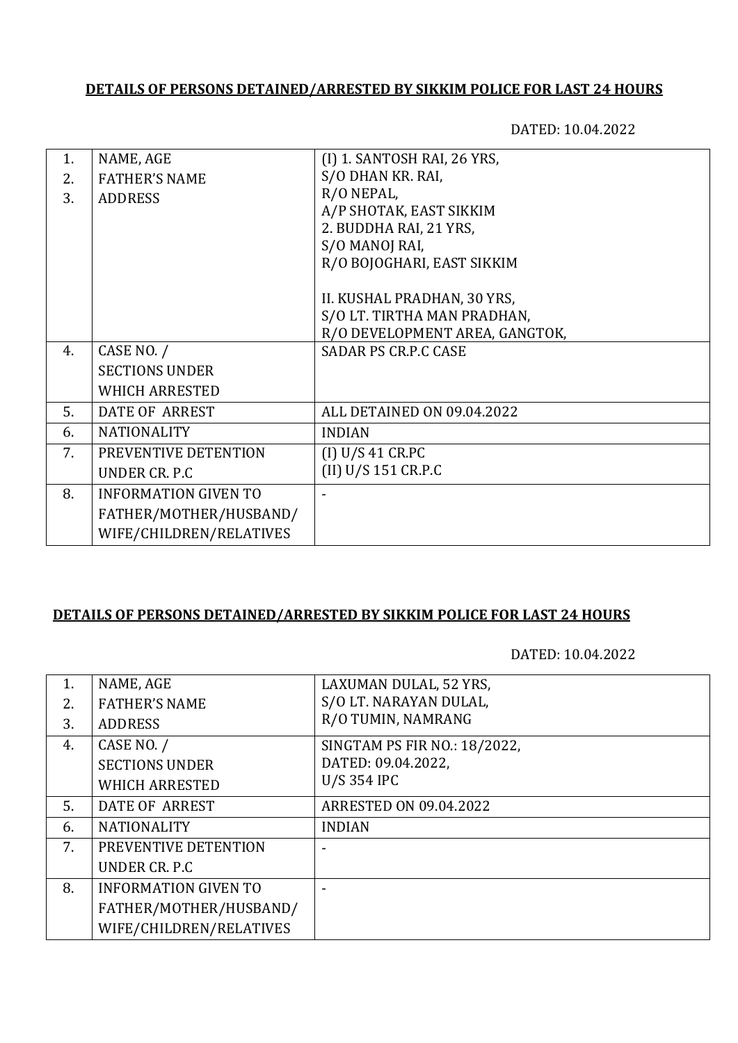## **DETAILS OF PERSONS DETAINED/ARRESTED BY SIKKIM POLICE FOR LAST 24 HOURS**

DATED: 10.04.2022

| 1. | NAME, AGE                   | (I) 1. SANTOSH RAI, 26 YRS,    |
|----|-----------------------------|--------------------------------|
| 2. | <b>FATHER'S NAME</b>        | S/O DHAN KR. RAI,              |
| 3. | <b>ADDRESS</b>              | R/O NEPAL,                     |
|    |                             | A/P SHOTAK, EAST SIKKIM        |
|    |                             | 2. BUDDHA RAI, 21 YRS,         |
|    |                             | S/O MANOJ RAI,                 |
|    |                             | R/O BOJOGHARI, EAST SIKKIM     |
|    |                             |                                |
|    |                             | II. KUSHAL PRADHAN, 30 YRS,    |
|    |                             | S/O LT. TIRTHA MAN PRADHAN,    |
|    |                             | R/O DEVELOPMENT AREA, GANGTOK, |
| 4. | CASE NO. /                  | <b>SADAR PS CR.P.C CASE</b>    |
|    | <b>SECTIONS UNDER</b>       |                                |
|    | <b>WHICH ARRESTED</b>       |                                |
| 5. | <b>DATE OF ARREST</b>       | ALL DETAINED ON 09.04.2022     |
| 6. | <b>NATIONALITY</b>          | <b>INDIAN</b>                  |
| 7. | PREVENTIVE DETENTION        | (I) U/S 41 C R.PC              |
|    | UNDER CR. P.C.              | (II) U/S 151 CR.P.C            |
| 8. | <b>INFORMATION GIVEN TO</b> |                                |
|    | FATHER/MOTHER/HUSBAND/      |                                |
|    | WIFE/CHILDREN/RELATIVES     |                                |
|    |                             |                                |

## **DETAILS OF PERSONS DETAINED/ARRESTED BY SIKKIM POLICE FOR LAST 24 HOURS**

DATED: 10.04.2022

| 1. | NAME, AGE                   | LAXUMAN DULAL, 52 YRS,        |
|----|-----------------------------|-------------------------------|
| 2. | <b>FATHER'S NAME</b>        | S/O LT. NARAYAN DULAL,        |
| 3. | <b>ADDRESS</b>              | R/O TUMIN, NAMRANG            |
| 4. | CASE NO. /                  | SINGTAM PS FIR NO.: 18/2022,  |
|    | <b>SECTIONS UNDER</b>       | DATED: 09.04.2022,            |
|    | <b>WHICH ARRESTED</b>       | <b>U/S 354 IPC</b>            |
| 5. | <b>DATE OF ARREST</b>       | <b>ARRESTED ON 09.04.2022</b> |
| 6. | <b>NATIONALITY</b>          | <b>INDIAN</b>                 |
| 7. | PREVENTIVE DETENTION        |                               |
|    | UNDER CR. P.C.              |                               |
| 8. | <b>INFORMATION GIVEN TO</b> |                               |
|    | FATHER/MOTHER/HUSBAND/      |                               |
|    | WIFE/CHILDREN/RELATIVES     |                               |